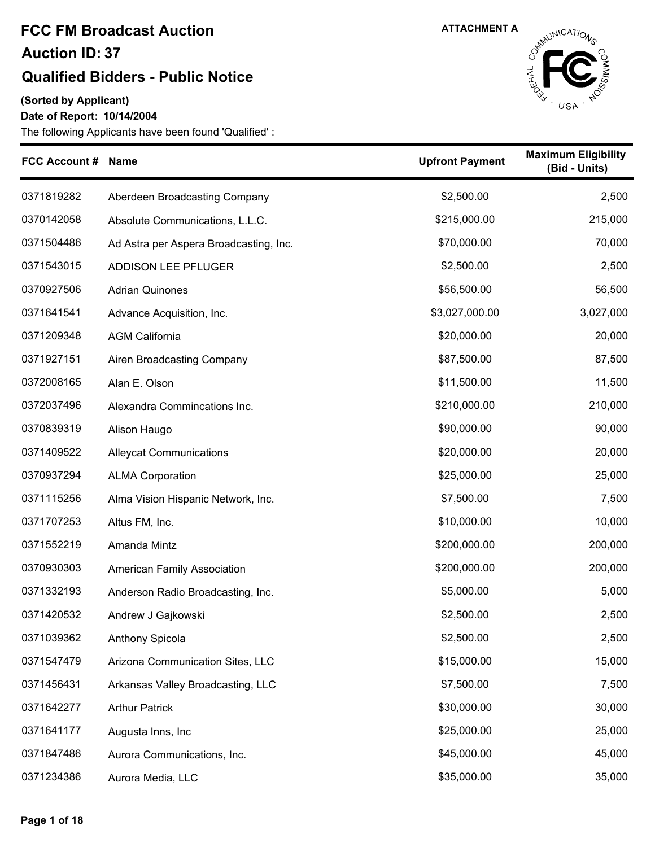### **Qualified Bidders - Public Notice**

**(Sorted by Applicant)**

**Date of Report: 10/14/2004**



| <b>FCC Account # Name</b> |                                        | <b>Upfront Payment</b> | <b>Maximum Eligibility</b><br>(Bid - Units) |
|---------------------------|----------------------------------------|------------------------|---------------------------------------------|
| 0371819282                | Aberdeen Broadcasting Company          | \$2,500.00             | 2,500                                       |
| 0370142058                | Absolute Communications, L.L.C.        | \$215,000.00           | 215,000                                     |
| 0371504486                | Ad Astra per Aspera Broadcasting, Inc. | \$70,000.00            | 70,000                                      |
| 0371543015                | <b>ADDISON LEE PFLUGER</b>             | \$2,500.00             | 2,500                                       |
| 0370927506                | <b>Adrian Quinones</b>                 | \$56,500.00            | 56,500                                      |
| 0371641541                | Advance Acquisition, Inc.              | \$3,027,000.00         | 3,027,000                                   |
| 0371209348                | <b>AGM California</b>                  | \$20,000.00            | 20,000                                      |
| 0371927151                | Airen Broadcasting Company             | \$87,500.00            | 87,500                                      |
| 0372008165                | Alan E. Olson                          | \$11,500.00            | 11,500                                      |
| 0372037496                | Alexandra Commincations Inc.           | \$210,000.00           | 210,000                                     |
| 0370839319                | Alison Haugo                           | \$90,000.00            | 90,000                                      |
| 0371409522                | <b>Alleycat Communications</b>         | \$20,000.00            | 20,000                                      |
| 0370937294                | <b>ALMA Corporation</b>                | \$25,000.00            | 25,000                                      |
| 0371115256                | Alma Vision Hispanic Network, Inc.     | \$7,500.00             | 7,500                                       |
| 0371707253                | Altus FM, Inc.                         | \$10,000.00            | 10,000                                      |
| 0371552219                | Amanda Mintz                           | \$200,000.00           | 200,000                                     |
| 0370930303                | American Family Association            | \$200,000.00           | 200,000                                     |
| 0371332193                | Anderson Radio Broadcasting, Inc.      | \$5,000.00             | 5,000                                       |
| 0371420532                | Andrew J Gajkowski                     | \$2,500.00             | 2,500                                       |
| 0371039362                | Anthony Spicola                        | \$2,500.00             | 2,500                                       |
| 0371547479                | Arizona Communication Sites, LLC       | \$15,000.00            | 15,000                                      |
| 0371456431                | Arkansas Valley Broadcasting, LLC      | \$7,500.00             | 7,500                                       |
| 0371642277                | <b>Arthur Patrick</b>                  | \$30,000.00            | 30,000                                      |
| 0371641177                | Augusta Inns, Inc                      | \$25,000.00            | 25,000                                      |
| 0371847486                | Aurora Communications, Inc.            | \$45,000.00            | 45,000                                      |
| 0371234386                | Aurora Media, LLC                      | \$35,000.00            | 35,000                                      |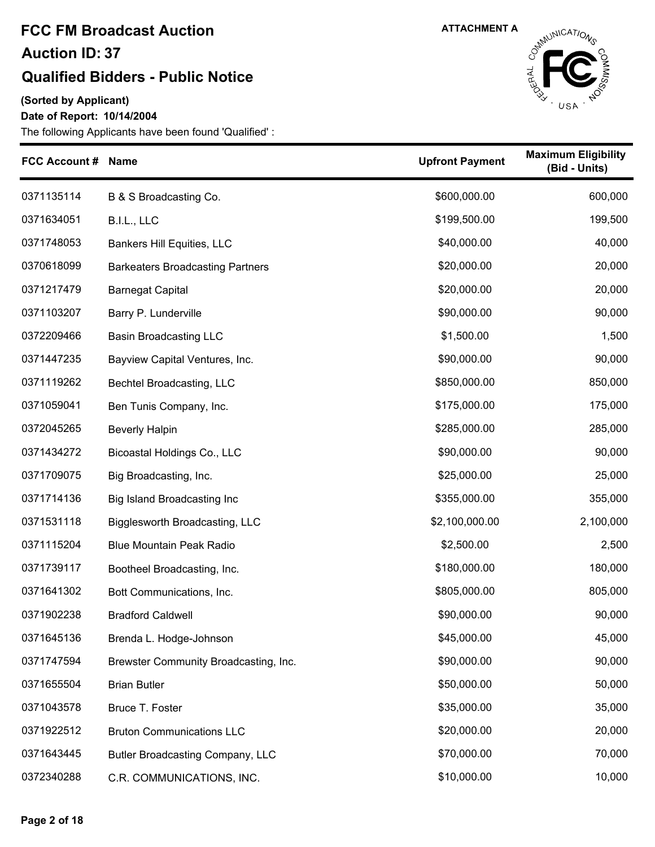#### **Qualified Bidders - Public Notice**

**(Sorted by Applicant)**

**Date of Report: 10/14/2004**



| <b>FCC Account # Name</b> |                                         | <b>Upfront Payment</b> | <b>Maximum Eligibility</b><br>(Bid - Units) |
|---------------------------|-----------------------------------------|------------------------|---------------------------------------------|
| 0371135114                | B & S Broadcasting Co.                  | \$600,000.00           | 600,000                                     |
| 0371634051                | B.I.L., LLC                             | \$199,500.00           | 199,500                                     |
| 0371748053                | Bankers Hill Equities, LLC              | \$40,000.00            | 40,000                                      |
| 0370618099                | <b>Barkeaters Broadcasting Partners</b> | \$20,000.00            | 20,000                                      |
| 0371217479                | <b>Barnegat Capital</b>                 | \$20,000.00            | 20,000                                      |
| 0371103207                | Barry P. Lunderville                    | \$90,000.00            | 90,000                                      |
| 0372209466                | <b>Basin Broadcasting LLC</b>           | \$1,500.00             | 1,500                                       |
| 0371447235                | Bayview Capital Ventures, Inc.          | \$90,000.00            | 90,000                                      |
| 0371119262                | Bechtel Broadcasting, LLC               | \$850,000.00           | 850,000                                     |
| 0371059041                | Ben Tunis Company, Inc.                 | \$175,000.00           | 175,000                                     |
| 0372045265                | <b>Beverly Halpin</b>                   | \$285,000.00           | 285,000                                     |
| 0371434272                | Bicoastal Holdings Co., LLC             | \$90,000.00            | 90,000                                      |
| 0371709075                | Big Broadcasting, Inc.                  | \$25,000.00            | 25,000                                      |
| 0371714136                | Big Island Broadcasting Inc             | \$355,000.00           | 355,000                                     |
| 0371531118                | Bigglesworth Broadcasting, LLC          | \$2,100,000.00         | 2,100,000                                   |
| 0371115204                | <b>Blue Mountain Peak Radio</b>         | \$2,500.00             | 2,500                                       |
| 0371739117                | Bootheel Broadcasting, Inc.             | \$180,000.00           | 180,000                                     |
| 0371641302                | Bott Communications, Inc.               | \$805,000.00           | 805,000                                     |
| 0371902238                | <b>Bradford Caldwell</b>                | \$90,000.00            | 90,000                                      |
| 0371645136                | Brenda L. Hodge-Johnson                 | \$45,000.00            | 45,000                                      |
| 0371747594                | Brewster Community Broadcasting, Inc.   | \$90,000.00            | 90,000                                      |
| 0371655504                | <b>Brian Butler</b>                     | \$50,000.00            | 50,000                                      |
| 0371043578                | Bruce T. Foster                         | \$35,000.00            | 35,000                                      |
| 0371922512                | <b>Bruton Communications LLC</b>        | \$20,000.00            | 20,000                                      |
| 0371643445                | Butler Broadcasting Company, LLC        | \$70,000.00            | 70,000                                      |
| 0372340288                | C.R. COMMUNICATIONS, INC.               | \$10,000.00            | 10,000                                      |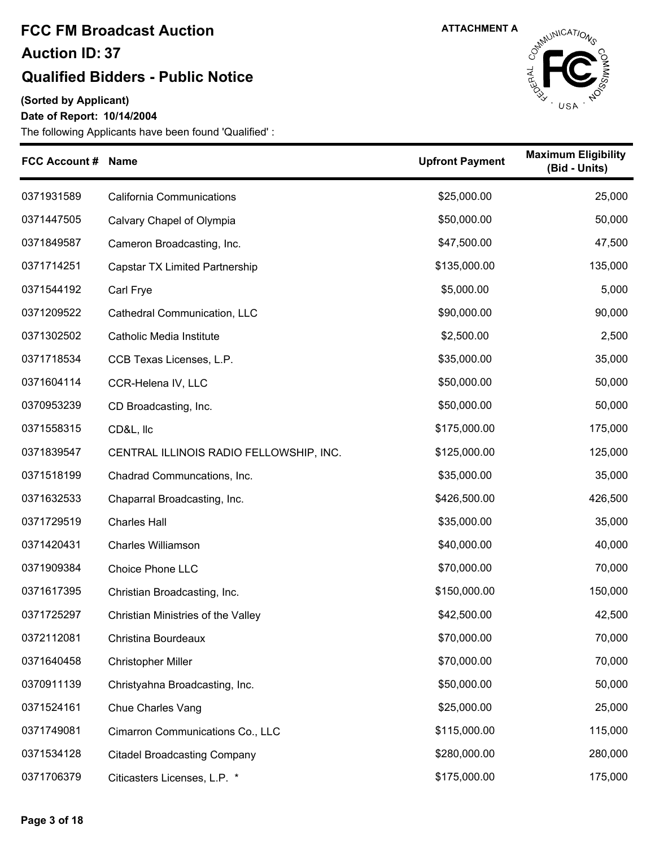#### **Qualified Bidders - Public Notice**

**(Sorted by Applicant)**

**Date of Report: 10/14/2004**



| <b>FCC Account #</b> | <b>Name</b>                             | <b>Upfront Payment</b> | <b>Maximum Eligibility</b><br>(Bid - Units) |
|----------------------|-----------------------------------------|------------------------|---------------------------------------------|
| 0371931589           | <b>California Communications</b>        | \$25,000.00            | 25,000                                      |
| 0371447505           | Calvary Chapel of Olympia               | \$50,000.00            | 50,000                                      |
| 0371849587           | Cameron Broadcasting, Inc.              | \$47,500.00            | 47,500                                      |
| 0371714251           | Capstar TX Limited Partnership          | \$135,000.00           | 135,000                                     |
| 0371544192           | Carl Frye                               | \$5,000.00             | 5,000                                       |
| 0371209522           | Cathedral Communication, LLC            | \$90,000.00            | 90,000                                      |
| 0371302502           | <b>Catholic Media Institute</b>         | \$2,500.00             | 2,500                                       |
| 0371718534           | CCB Texas Licenses, L.P.                | \$35,000.00            | 35,000                                      |
| 0371604114           | CCR-Helena IV, LLC                      | \$50,000.00            | 50,000                                      |
| 0370953239           | CD Broadcasting, Inc.                   | \$50,000.00            | 50,000                                      |
| 0371558315           | CD&L, IIc                               | \$175,000.00           | 175,000                                     |
| 0371839547           | CENTRAL ILLINOIS RADIO FELLOWSHIP, INC. | \$125,000.00           | 125,000                                     |
| 0371518199           | Chadrad Communcations, Inc.             | \$35,000.00            | 35,000                                      |
| 0371632533           | Chaparral Broadcasting, Inc.            | \$426,500.00           | 426,500                                     |
| 0371729519           | <b>Charles Hall</b>                     | \$35,000.00            | 35,000                                      |
| 0371420431           | <b>Charles Williamson</b>               | \$40,000.00            | 40,000                                      |
| 0371909384           | <b>Choice Phone LLC</b>                 | \$70,000.00            | 70,000                                      |
| 0371617395           | Christian Broadcasting, Inc.            | \$150,000.00           | 150,000                                     |
| 0371725297           | Christian Ministries of the Valley      | \$42,500.00            | 42,500                                      |
| 0372112081           | Christina Bourdeaux                     | \$70,000.00            | 70,000                                      |
| 0371640458           | <b>Christopher Miller</b>               | \$70,000.00            | 70,000                                      |
| 0370911139           | Christyahna Broadcasting, Inc.          | \$50,000.00            | 50,000                                      |
| 0371524161           | Chue Charles Vang                       | \$25,000.00            | 25,000                                      |
| 0371749081           | Cimarron Communications Co., LLC        | \$115,000.00           | 115,000                                     |
| 0371534128           | <b>Citadel Broadcasting Company</b>     | \$280,000.00           | 280,000                                     |
| 0371706379           | Citicasters Licenses, L.P. *            | \$175,000.00           | 175,000                                     |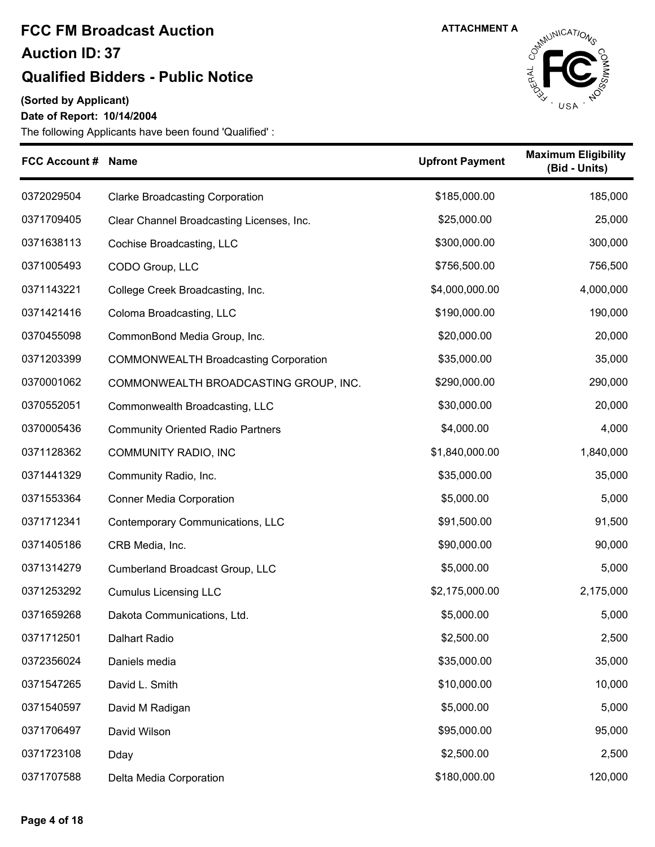### **Qualified Bidders - Public Notice**

**(Sorted by Applicant)**

#### **Date of Report: 10/14/2004**



| FCC Account # Name |                                              | <b>Upfront Payment</b> | <b>Maximum Eligibility</b><br>(Bid - Units) |
|--------------------|----------------------------------------------|------------------------|---------------------------------------------|
| 0372029504         | <b>Clarke Broadcasting Corporation</b>       | \$185,000.00           | 185,000                                     |
| 0371709405         | Clear Channel Broadcasting Licenses, Inc.    | \$25,000.00            | 25,000                                      |
| 0371638113         | Cochise Broadcasting, LLC                    | \$300,000.00           | 300,000                                     |
| 0371005493         | CODO Group, LLC                              | \$756,500.00           | 756,500                                     |
| 0371143221         | College Creek Broadcasting, Inc.             | \$4,000,000.00         | 4,000,000                                   |
| 0371421416         | Coloma Broadcasting, LLC                     | \$190,000.00           | 190,000                                     |
| 0370455098         | CommonBond Media Group, Inc.                 | \$20,000.00            | 20,000                                      |
| 0371203399         | <b>COMMONWEALTH Broadcasting Corporation</b> | \$35,000.00            | 35,000                                      |
| 0370001062         | COMMONWEALTH BROADCASTING GROUP, INC.        | \$290,000.00           | 290,000                                     |
| 0370552051         | Commonwealth Broadcasting, LLC               | \$30,000.00            | 20,000                                      |
| 0370005436         | <b>Community Oriented Radio Partners</b>     | \$4,000.00             | 4,000                                       |
| 0371128362         | <b>COMMUNITY RADIO, INC</b>                  | \$1,840,000.00         | 1,840,000                                   |
| 0371441329         | Community Radio, Inc.                        | \$35,000.00            | 35,000                                      |
| 0371553364         | <b>Conner Media Corporation</b>              | \$5,000.00             | 5,000                                       |
| 0371712341         | Contemporary Communications, LLC             | \$91,500.00            | 91,500                                      |
| 0371405186         | CRB Media, Inc.                              | \$90,000.00            | 90,000                                      |
| 0371314279         | Cumberland Broadcast Group, LLC              | \$5,000.00             | 5,000                                       |
| 0371253292         | <b>Cumulus Licensing LLC</b>                 | \$2,175,000.00         | 2,175,000                                   |
| 0371659268         | Dakota Communications, Ltd.                  | \$5,000.00             | 5,000                                       |
| 0371712501         | Dalhart Radio                                | \$2,500.00             | 2,500                                       |
| 0372356024         | Daniels media                                | \$35,000.00            | 35,000                                      |
| 0371547265         | David L. Smith                               | \$10,000.00            | 10,000                                      |
| 0371540597         | David M Radigan                              | \$5,000.00             | 5,000                                       |
| 0371706497         | David Wilson                                 | \$95,000.00            | 95,000                                      |
| 0371723108         | Dday                                         | \$2,500.00             | 2,500                                       |
| 0371707588         | Delta Media Corporation                      | \$180,000.00           | 120,000                                     |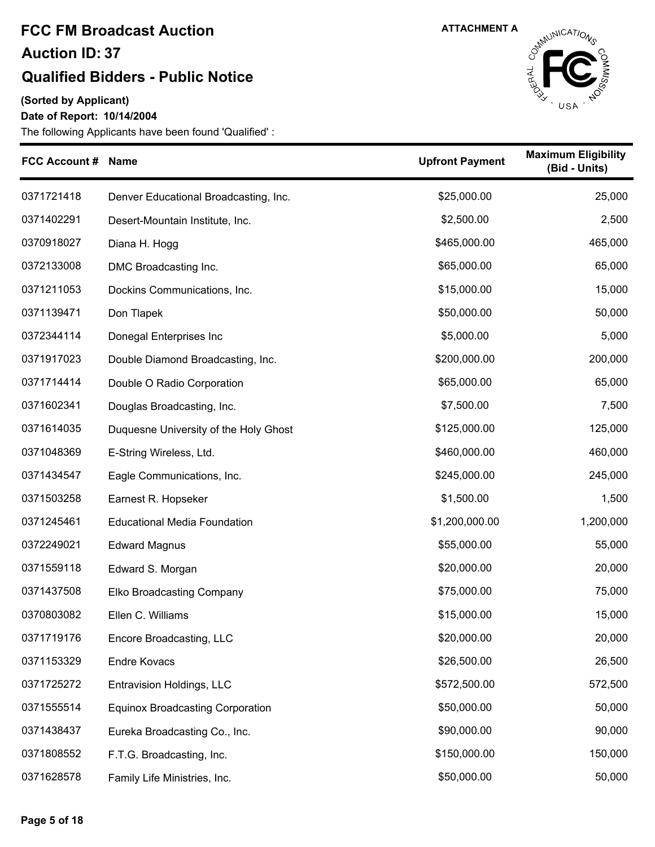#### **Qualified Bidders - Public Notice**

**(Sorted by Applicant)**

**Date of Report: 10/14/2004**



| <b>FCC Account # Name</b> |                                         | <b>Upfront Payment</b> | <b>Maximum Eligibility</b><br>(Bid - Units) |
|---------------------------|-----------------------------------------|------------------------|---------------------------------------------|
| 0371721418                | Denver Educational Broadcasting, Inc.   | \$25,000.00            | 25,000                                      |
| 0371402291                | Desert-Mountain Institute, Inc.         | \$2,500.00             | 2,500                                       |
| 0370918027                | Diana H. Hogg                           | \$465,000.00           | 465,000                                     |
| 0372133008                | DMC Broadcasting Inc.                   | \$65,000.00            | 65,000                                      |
| 0371211053                | Dockins Communications, Inc.            | \$15,000.00            | 15,000                                      |
| 0371139471                | Don Tlapek                              | \$50,000.00            | 50,000                                      |
| 0372344114                | Donegal Enterprises Inc                 | \$5,000.00             | 5,000                                       |
| 0371917023                | Double Diamond Broadcasting, Inc.       | \$200,000.00           | 200,000                                     |
| 0371714414                | Double O Radio Corporation              | \$65,000.00            | 65,000                                      |
| 0371602341                | Douglas Broadcasting, Inc.              | \$7,500.00             | 7,500                                       |
| 0371614035                | Duquesne University of the Holy Ghost   | \$125,000.00           | 125,000                                     |
| 0371048369                | E-String Wireless, Ltd.                 | \$460,000.00           | 460,000                                     |
| 0371434547                | Eagle Communications, Inc.              | \$245,000.00           | 245,000                                     |
| 0371503258                | Earnest R. Hopseker                     | \$1,500.00             | 1,500                                       |
| 0371245461                | <b>Educational Media Foundation</b>     | \$1,200,000.00         | 1,200,000                                   |
| 0372249021                | <b>Edward Magnus</b>                    | \$55,000.00            | 55,000                                      |
| 0371559118                | Edward S. Morgan                        | \$20,000.00            | 20,000                                      |
| 0371437508                | <b>Elko Broadcasting Company</b>        | \$75,000.00            | 75,000                                      |
| 0370803082                | Ellen C. Williams                       | \$15,000.00            | 15,000                                      |
| 0371719176                | Encore Broadcasting, LLC                | \$20,000.00            | 20,000                                      |
| 0371153329                | <b>Endre Kovacs</b>                     | \$26,500.00            | 26,500                                      |
| 0371725272                | Entravision Holdings, LLC               | \$572,500.00           | 572,500                                     |
| 0371555514                | <b>Equinox Broadcasting Corporation</b> | \$50,000.00            | 50,000                                      |
| 0371438437                | Eureka Broadcasting Co., Inc.           | \$90,000.00            | 90,000                                      |
| 0371808552                | F.T.G. Broadcasting, Inc.               | \$150,000.00           | 150,000                                     |
| 0371628578                | Family Life Ministries, Inc.            | \$50,000.00            | 50,000                                      |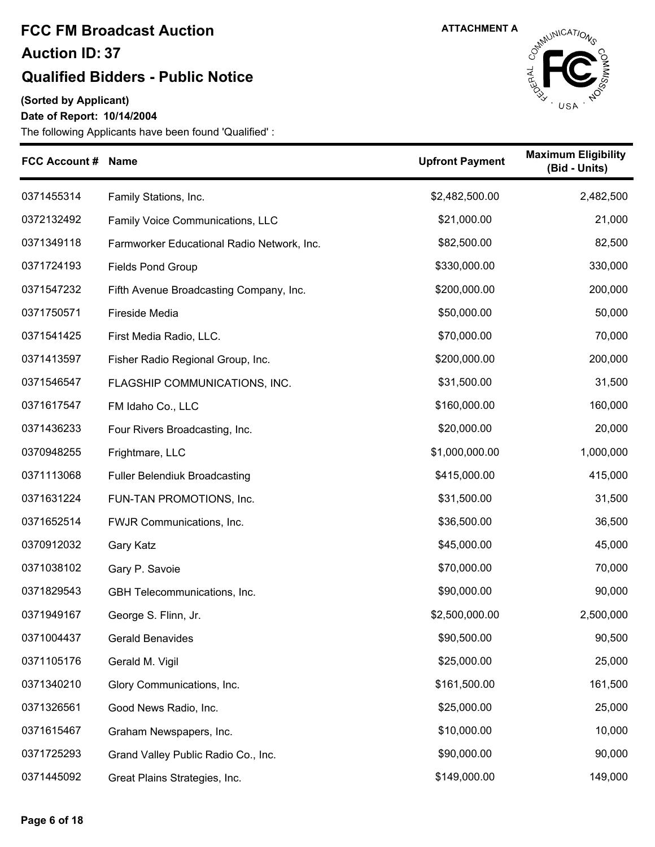### **Qualified Bidders - Public Notice**

**(Sorted by Applicant)**

**Date of Report: 10/14/2004**



| FCC Account # Name |                                            | <b>Upfront Payment</b> | <b>Maximum Eligibility</b><br>(Bid - Units) |
|--------------------|--------------------------------------------|------------------------|---------------------------------------------|
| 0371455314         | Family Stations, Inc.                      | \$2,482,500.00         | 2,482,500                                   |
| 0372132492         | Family Voice Communications, LLC           | \$21,000.00            | 21,000                                      |
| 0371349118         | Farmworker Educational Radio Network, Inc. | \$82,500.00            | 82,500                                      |
| 0371724193         | <b>Fields Pond Group</b>                   | \$330,000.00           | 330,000                                     |
| 0371547232         | Fifth Avenue Broadcasting Company, Inc.    | \$200,000.00           | 200,000                                     |
| 0371750571         | <b>Fireside Media</b>                      | \$50,000.00            | 50,000                                      |
| 0371541425         | First Media Radio, LLC.                    | \$70,000.00            | 70,000                                      |
| 0371413597         | Fisher Radio Regional Group, Inc.          | \$200,000.00           | 200,000                                     |
| 0371546547         | FLAGSHIP COMMUNICATIONS, INC.              | \$31,500.00            | 31,500                                      |
| 0371617547         | FM Idaho Co., LLC                          | \$160,000.00           | 160,000                                     |
| 0371436233         | Four Rivers Broadcasting, Inc.             | \$20,000.00            | 20,000                                      |
| 0370948255         | Frightmare, LLC                            | \$1,000,000.00         | 1,000,000                                   |
| 0371113068         | <b>Fuller Belendiuk Broadcasting</b>       | \$415,000.00           | 415,000                                     |
| 0371631224         | FUN-TAN PROMOTIONS, Inc.                   | \$31,500.00            | 31,500                                      |
| 0371652514         | FWJR Communications, Inc.                  | \$36,500.00            | 36,500                                      |
| 0370912032         | <b>Gary Katz</b>                           | \$45,000.00            | 45,000                                      |
| 0371038102         | Gary P. Savoie                             | \$70,000.00            | 70,000                                      |
| 0371829543         | GBH Telecommunications, Inc.               | \$90,000.00            | 90,000                                      |
| 0371949167         | George S. Flinn, Jr.                       | \$2,500,000.00         | 2,500,000                                   |
| 0371004437         | <b>Gerald Benavides</b>                    | \$90,500.00            | 90,500                                      |
| 0371105176         | Gerald M. Vigil                            | \$25,000.00            | 25,000                                      |
| 0371340210         | Glory Communications, Inc.                 | \$161,500.00           | 161,500                                     |
| 0371326561         | Good News Radio, Inc.                      | \$25,000.00            | 25,000                                      |
| 0371615467         | Graham Newspapers, Inc.                    | \$10,000.00            | 10,000                                      |
| 0371725293         | Grand Valley Public Radio Co., Inc.        | \$90,000.00            | 90,000                                      |
| 0371445092         | Great Plains Strategies, Inc.              | \$149,000.00           | 149,000                                     |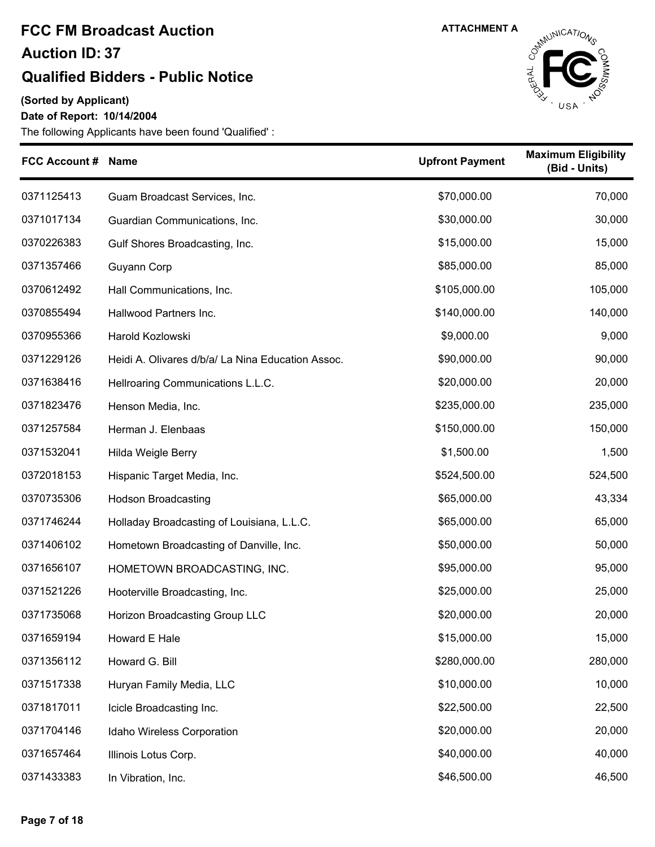### **Qualified Bidders - Public Notice**

**(Sorted by Applicant)**

**Date of Report: 10/14/2004**



| FCC Account # Name |                                                   | <b>Upfront Payment</b> | <b>Maximum Eligibility</b><br>(Bid - Units) |
|--------------------|---------------------------------------------------|------------------------|---------------------------------------------|
| 0371125413         | Guam Broadcast Services, Inc.                     | \$70,000.00            | 70,000                                      |
| 0371017134         | Guardian Communications, Inc.                     | \$30,000.00            | 30,000                                      |
| 0370226383         | Gulf Shores Broadcasting, Inc.                    | \$15,000.00            | 15,000                                      |
| 0371357466         | Guyann Corp                                       | \$85,000.00            | 85,000                                      |
| 0370612492         | Hall Communications, Inc.                         | \$105,000.00           | 105,000                                     |
| 0370855494         | Hallwood Partners Inc.                            | \$140,000.00           | 140,000                                     |
| 0370955366         | Harold Kozlowski                                  | \$9,000.00             | 9,000                                       |
| 0371229126         | Heidi A. Olivares d/b/a/ La Nina Education Assoc. | \$90,000.00            | 90,000                                      |
| 0371638416         | Hellroaring Communications L.L.C.                 | \$20,000.00            | 20,000                                      |
| 0371823476         | Henson Media, Inc.                                | \$235,000.00           | 235,000                                     |
| 0371257584         | Herman J. Elenbaas                                | \$150,000.00           | 150,000                                     |
| 0371532041         | Hilda Weigle Berry                                | \$1,500.00             | 1,500                                       |
| 0372018153         | Hispanic Target Media, Inc.                       | \$524,500.00           | 524,500                                     |
| 0370735306         | <b>Hodson Broadcasting</b>                        | \$65,000.00            | 43,334                                      |
| 0371746244         | Holladay Broadcasting of Louisiana, L.L.C.        | \$65,000.00            | 65,000                                      |
| 0371406102         | Hometown Broadcasting of Danville, Inc.           | \$50,000.00            | 50,000                                      |
| 0371656107         | HOMETOWN BROADCASTING, INC.                       | \$95,000.00            | 95,000                                      |
| 0371521226         | Hooterville Broadcasting, Inc.                    | \$25,000.00            | 25,000                                      |
| 0371735068         | Horizon Broadcasting Group LLC                    | \$20,000.00            | 20,000                                      |
| 0371659194         | Howard E Hale                                     | \$15,000.00            | 15,000                                      |
| 0371356112         | Howard G. Bill                                    | \$280,000.00           | 280,000                                     |
| 0371517338         | Huryan Family Media, LLC                          | \$10,000.00            | 10,000                                      |
| 0371817011         | Icicle Broadcasting Inc.                          | \$22,500.00            | 22,500                                      |
| 0371704146         | Idaho Wireless Corporation                        | \$20,000.00            | 20,000                                      |
| 0371657464         | Illinois Lotus Corp.                              | \$40,000.00            | 40,000                                      |
| 0371433383         | In Vibration, Inc.                                | \$46,500.00            | 46,500                                      |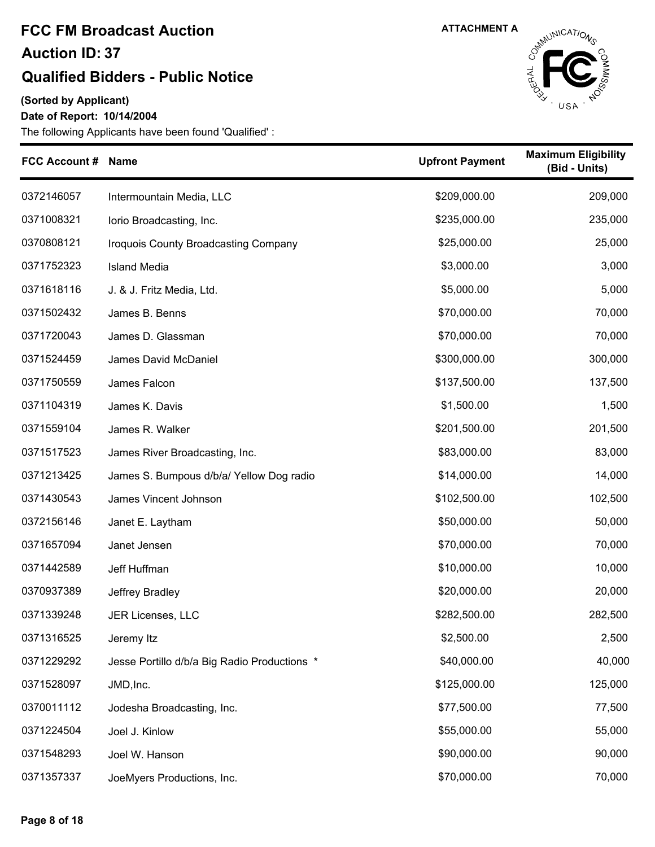#### **Qualified Bidders - Public Notice**

**(Sorted by Applicant)**

#### **Date of Report: 10/14/2004**



| <b>FCC Account # Name</b> |                                              | <b>Upfront Payment</b> | <b>Maximum Eligibility</b><br>(Bid - Units) |
|---------------------------|----------------------------------------------|------------------------|---------------------------------------------|
| 0372146057                | Intermountain Media, LLC                     | \$209,000.00           | 209,000                                     |
| 0371008321                | lorio Broadcasting, Inc.                     | \$235,000.00           | 235,000                                     |
| 0370808121                | Iroquois County Broadcasting Company         | \$25,000.00            | 25,000                                      |
| 0371752323                | <b>Island Media</b>                          | \$3,000.00             | 3,000                                       |
| 0371618116                | J. & J. Fritz Media, Ltd.                    | \$5,000.00             | 5,000                                       |
| 0371502432                | James B. Benns                               | \$70,000.00            | 70,000                                      |
| 0371720043                | James D. Glassman                            | \$70,000.00            | 70,000                                      |
| 0371524459                | James David McDaniel                         | \$300,000.00           | 300,000                                     |
| 0371750559                | James Falcon                                 | \$137,500.00           | 137,500                                     |
| 0371104319                | James K. Davis                               | \$1,500.00             | 1,500                                       |
| 0371559104                | James R. Walker                              | \$201,500.00           | 201,500                                     |
| 0371517523                | James River Broadcasting, Inc.               | \$83,000.00            | 83,000                                      |
| 0371213425                | James S. Bumpous d/b/a/ Yellow Dog radio     | \$14,000.00            | 14,000                                      |
| 0371430543                | James Vincent Johnson                        | \$102,500.00           | 102,500                                     |
| 0372156146                | Janet E. Laytham                             | \$50,000.00            | 50,000                                      |
| 0371657094                | Janet Jensen                                 | \$70,000.00            | 70,000                                      |
| 0371442589                | Jeff Huffman                                 | \$10,000.00            | 10,000                                      |
| 0370937389                | Jeffrey Bradley                              | \$20,000.00            | 20,000                                      |
| 0371339248                | JER Licenses, LLC                            | \$282,500.00           | 282,500                                     |
| 0371316525                | Jeremy Itz                                   | \$2,500.00             | 2,500                                       |
| 0371229292                | Jesse Portillo d/b/a Big Radio Productions * | \$40,000.00            | 40,000                                      |
| 0371528097                | JMD, Inc.                                    | \$125,000.00           | 125,000                                     |
| 0370011112                | Jodesha Broadcasting, Inc.                   | \$77,500.00            | 77,500                                      |
| 0371224504                | Joel J. Kinlow                               | \$55,000.00            | 55,000                                      |
| 0371548293                | Joel W. Hanson                               | \$90,000.00            | 90,000                                      |
| 0371357337                | JoeMyers Productions, Inc.                   | \$70,000.00            | 70,000                                      |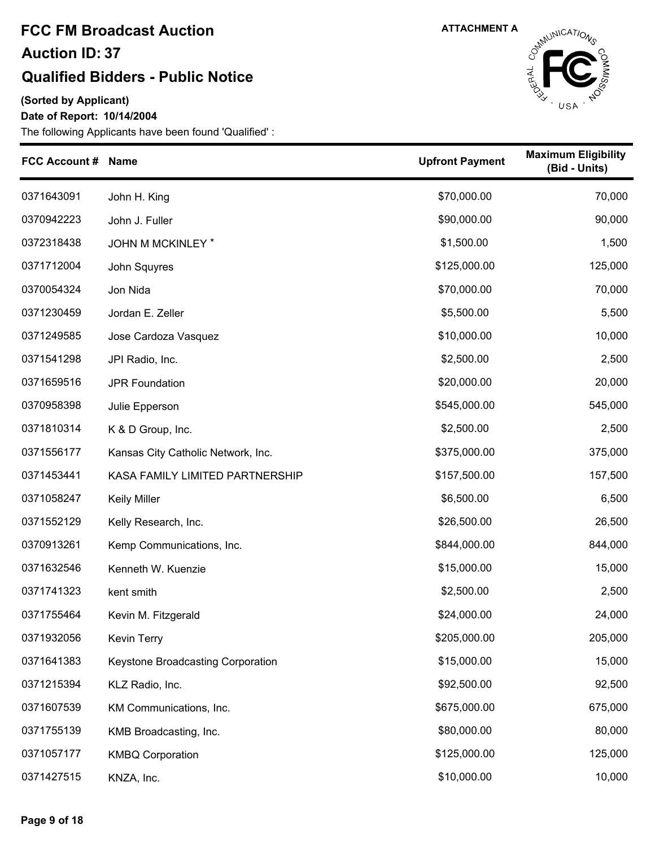#### **Qualified Bidders - Public Notice**

**(Sorted by Applicant)**

**Date of Report: 10/14/2004**



| <b>FCC Account #</b> | <b>Name</b>                        | <b>Upfront Payment</b> | <b>Maximum Eligibility</b><br>(Bid - Units) |
|----------------------|------------------------------------|------------------------|---------------------------------------------|
| 0371643091           | John H. King                       | \$70,000.00            | 70,000                                      |
| 0370942223           | John J. Fuller                     | \$90,000.00            | 90,000                                      |
| 0372318438           | JOHN M MCKINLEY *                  | \$1,500.00             | 1,500                                       |
| 0371712004           | John Squyres                       | \$125,000.00           | 125,000                                     |
| 0370054324           | Jon Nida                           | \$70,000.00            | 70,000                                      |
| 0371230459           | Jordan E. Zeller                   | \$5,500.00             | 5,500                                       |
| 0371249585           | Jose Cardoza Vasquez               | \$10,000.00            | 10,000                                      |
| 0371541298           | JPI Radio, Inc.                    | \$2,500.00             | 2,500                                       |
| 0371659516           | <b>JPR Foundation</b>              | \$20,000.00            | 20,000                                      |
| 0370958398           | Julie Epperson                     | \$545,000.00           | 545,000                                     |
| 0371810314           | K & D Group, Inc.                  | \$2,500.00             | 2,500                                       |
| 0371556177           | Kansas City Catholic Network, Inc. | \$375,000.00           | 375,000                                     |
| 0371453441           | KASA FAMILY LIMITED PARTNERSHIP    | \$157,500.00           | 157,500                                     |
| 0371058247           | <b>Keily Miller</b>                | \$6,500.00             | 6,500                                       |
| 0371552129           | Kelly Research, Inc.               | \$26,500.00            | 26,500                                      |
| 0370913261           | Kemp Communications, Inc.          | \$844,000.00           | 844,000                                     |
| 0371632546           | Kenneth W. Kuenzie                 | \$15,000.00            | 15,000                                      |
| 0371741323           | kent smith                         | \$2,500.00             | 2,500                                       |
| 0371755464           | Kevin M. Fitzgerald                | \$24,000.00            | 24,000                                      |
| 0371932056           | <b>Kevin Terry</b>                 | \$205,000.00           | 205,000                                     |
| 0371641383           | Keystone Broadcasting Corporation  | \$15,000.00            | 15,000                                      |
| 0371215394           | KLZ Radio, Inc.                    | \$92,500.00            | 92,500                                      |
| 0371607539           | KM Communications, Inc.            | \$675,000.00           | 675,000                                     |
| 0371755139           | KMB Broadcasting, Inc.             | \$80,000.00            | 80,000                                      |
| 0371057177           | <b>KMBQ Corporation</b>            | \$125,000.00           | 125,000                                     |
| 0371427515           | KNZA, Inc.                         | \$10,000.00            | 10,000                                      |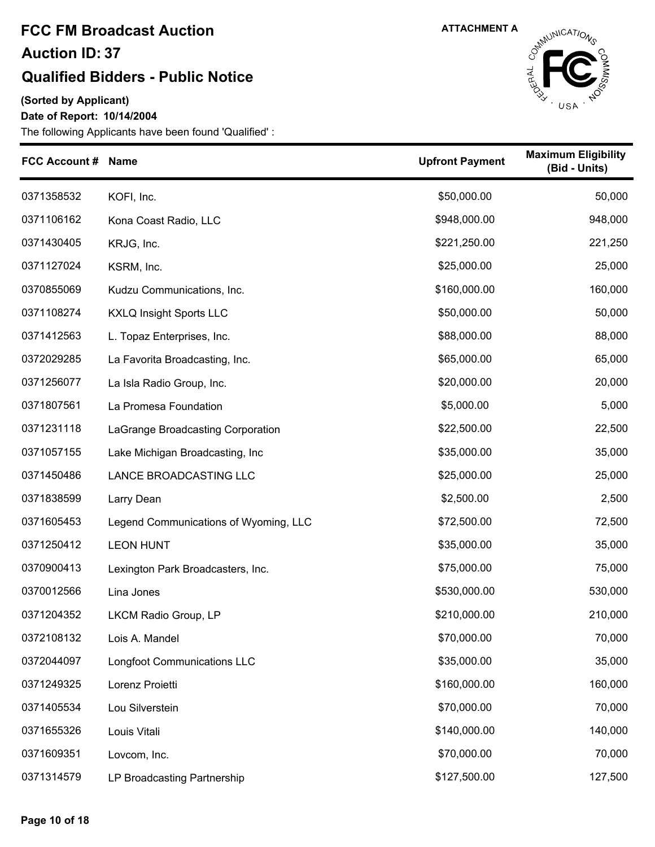#### **Qualified Bidders - Public Notice**

**(Sorted by Applicant)**

**Date of Report: 10/14/2004**



| <b>FCC Account # Name</b> |                                       | <b>Upfront Payment</b> | <b>Maximum Eligibility</b><br>(Bid - Units) |
|---------------------------|---------------------------------------|------------------------|---------------------------------------------|
| 0371358532                | KOFI, Inc.                            | \$50,000.00            | 50,000                                      |
| 0371106162                | Kona Coast Radio, LLC                 | \$948,000.00           | 948,000                                     |
| 0371430405                | KRJG, Inc.                            | \$221,250.00           | 221,250                                     |
| 0371127024                | KSRM, Inc.                            | \$25,000.00            | 25,000                                      |
| 0370855069                | Kudzu Communications, Inc.            | \$160,000.00           | 160,000                                     |
| 0371108274                | <b>KXLQ Insight Sports LLC</b>        | \$50,000.00            | 50,000                                      |
| 0371412563                | L. Topaz Enterprises, Inc.            | \$88,000.00            | 88,000                                      |
| 0372029285                | La Favorita Broadcasting, Inc.        | \$65,000.00            | 65,000                                      |
| 0371256077                | La Isla Radio Group, Inc.             | \$20,000.00            | 20,000                                      |
| 0371807561                | La Promesa Foundation                 | \$5,000.00             | 5,000                                       |
| 0371231118                | LaGrange Broadcasting Corporation     | \$22,500.00            | 22,500                                      |
| 0371057155                | Lake Michigan Broadcasting, Inc       | \$35,000.00            | 35,000                                      |
| 0371450486                | LANCE BROADCASTING LLC                | \$25,000.00            | 25,000                                      |
| 0371838599                | Larry Dean                            | \$2,500.00             | 2,500                                       |
| 0371605453                | Legend Communications of Wyoming, LLC | \$72,500.00            | 72,500                                      |
| 0371250412                | <b>LEON HUNT</b>                      | \$35,000.00            | 35,000                                      |
| 0370900413                | Lexington Park Broadcasters, Inc.     | \$75,000.00            | 75,000                                      |
| 0370012566                | Lina Jones                            | \$530,000.00           | 530,000                                     |
| 0371204352                | LKCM Radio Group, LP                  | \$210,000.00           | 210,000                                     |
| 0372108132                | Lois A. Mandel                        | \$70,000.00            | 70,000                                      |
| 0372044097                | Longfoot Communications LLC           | \$35,000.00            | 35,000                                      |
| 0371249325                | Lorenz Proietti                       | \$160,000.00           | 160,000                                     |
| 0371405534                | Lou Silverstein                       | \$70,000.00            | 70,000                                      |
| 0371655326                | Louis Vitali                          | \$140,000.00           | 140,000                                     |
| 0371609351                | Lovcom, Inc.                          | \$70,000.00            | 70,000                                      |
| 0371314579                | LP Broadcasting Partnership           | \$127,500.00           | 127,500                                     |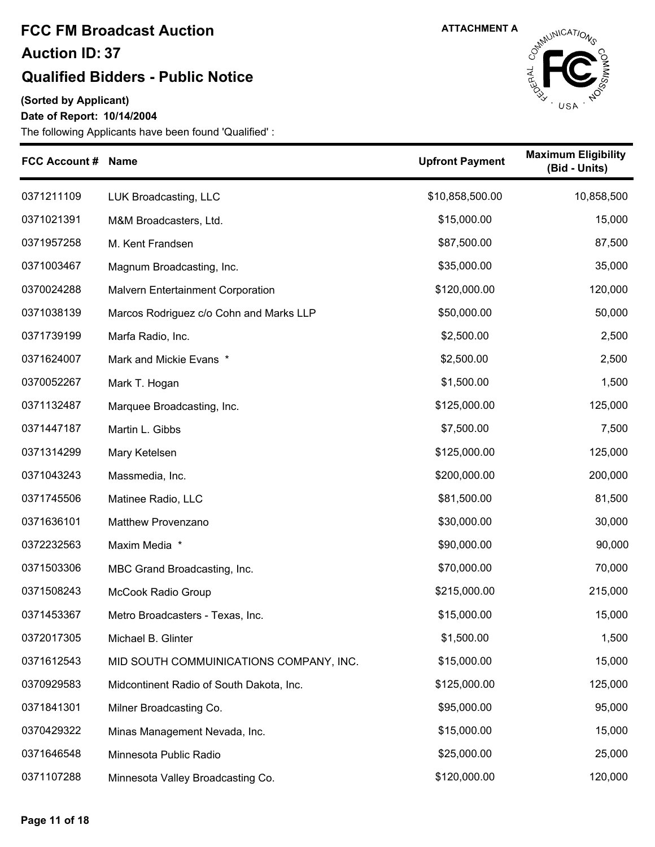#### **Qualified Bidders - Public Notice**

**(Sorted by Applicant)**

#### **Date of Report: 10/14/2004**



| FCC Account # Name |                                          | <b>Upfront Payment</b> | <b>Maximum Eligibility</b><br>(Bid - Units) |
|--------------------|------------------------------------------|------------------------|---------------------------------------------|
| 0371211109         | LUK Broadcasting, LLC                    | \$10,858,500.00        | 10,858,500                                  |
| 0371021391         | M&M Broadcasters, Ltd.                   | \$15,000.00            | 15,000                                      |
| 0371957258         | M. Kent Frandsen                         | \$87,500.00            | 87,500                                      |
| 0371003467         | Magnum Broadcasting, Inc.                | \$35,000.00            | 35,000                                      |
| 0370024288         | <b>Malvern Entertainment Corporation</b> | \$120,000.00           | 120,000                                     |
| 0371038139         | Marcos Rodriguez c/o Cohn and Marks LLP  | \$50,000.00            | 50,000                                      |
| 0371739199         | Marfa Radio, Inc.                        | \$2,500.00             | 2,500                                       |
| 0371624007         | Mark and Mickie Evans *                  | \$2,500.00             | 2,500                                       |
| 0370052267         | Mark T. Hogan                            | \$1,500.00             | 1,500                                       |
| 0371132487         | Marquee Broadcasting, Inc.               | \$125,000.00           | 125,000                                     |
| 0371447187         | Martin L. Gibbs                          | \$7,500.00             | 7,500                                       |
| 0371314299         | Mary Ketelsen                            | \$125,000.00           | 125,000                                     |
| 0371043243         | Massmedia, Inc.                          | \$200,000.00           | 200,000                                     |
| 0371745506         | Matinee Radio, LLC                       | \$81,500.00            | 81,500                                      |
| 0371636101         | Matthew Provenzano                       | \$30,000.00            | 30,000                                      |
| 0372232563         | Maxim Media *                            | \$90,000.00            | 90,000                                      |
| 0371503306         | MBC Grand Broadcasting, Inc.             | \$70,000.00            | 70,000                                      |
| 0371508243         | McCook Radio Group                       | \$215,000.00           | 215,000                                     |
| 0371453367         | Metro Broadcasters - Texas, Inc.         | \$15,000.00            | 15,000                                      |
| 0372017305         | Michael B. Glinter                       | \$1,500.00             | 1,500                                       |
| 0371612543         | MID SOUTH COMMUINICATIONS COMPANY, INC.  | \$15,000.00            | 15,000                                      |
| 0370929583         | Midcontinent Radio of South Dakota, Inc. | \$125,000.00           | 125,000                                     |
| 0371841301         | Milner Broadcasting Co.                  | \$95,000.00            | 95,000                                      |
| 0370429322         | Minas Management Nevada, Inc.            | \$15,000.00            | 15,000                                      |
| 0371646548         | Minnesota Public Radio                   | \$25,000.00            | 25,000                                      |
| 0371107288         | Minnesota Valley Broadcasting Co.        | \$120,000.00           | 120,000                                     |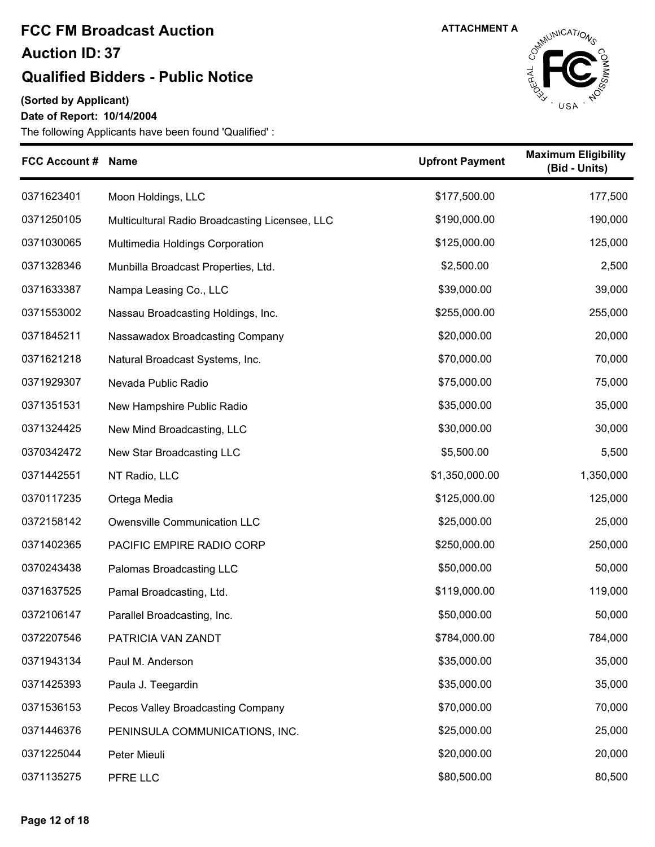### **Qualified Bidders - Public Notice**

**(Sorted by Applicant)**

**Date of Report: 10/14/2004**



| <b>FCC Account #</b> | <b>Name</b>                                    | <b>Upfront Payment</b> | <b>Maximum Eligibility</b><br>(Bid - Units) |
|----------------------|------------------------------------------------|------------------------|---------------------------------------------|
| 0371623401           | Moon Holdings, LLC                             | \$177,500.00           | 177,500                                     |
| 0371250105           | Multicultural Radio Broadcasting Licensee, LLC | \$190,000.00           | 190,000                                     |
| 0371030065           | Multimedia Holdings Corporation                | \$125,000.00           | 125,000                                     |
| 0371328346           | Munbilla Broadcast Properties, Ltd.            | \$2,500.00             | 2,500                                       |
| 0371633387           | Nampa Leasing Co., LLC                         | \$39,000.00            | 39,000                                      |
| 0371553002           | Nassau Broadcasting Holdings, Inc.             | \$255,000.00           | 255,000                                     |
| 0371845211           | Nassawadox Broadcasting Company                | \$20,000.00            | 20,000                                      |
| 0371621218           | Natural Broadcast Systems, Inc.                | \$70,000.00            | 70,000                                      |
| 0371929307           | Nevada Public Radio                            | \$75,000.00            | 75,000                                      |
| 0371351531           | New Hampshire Public Radio                     | \$35,000.00            | 35,000                                      |
| 0371324425           | New Mind Broadcasting, LLC                     | \$30,000.00            | 30,000                                      |
| 0370342472           | New Star Broadcasting LLC                      | \$5,500.00             | 5,500                                       |
| 0371442551           | NT Radio, LLC                                  | \$1,350,000.00         | 1,350,000                                   |
| 0370117235           | Ortega Media                                   | \$125,000.00           | 125,000                                     |
| 0372158142           | Owensville Communication LLC                   | \$25,000.00            | 25,000                                      |
| 0371402365           | PACIFIC EMPIRE RADIO CORP                      | \$250,000.00           | 250,000                                     |
| 0370243438           | Palomas Broadcasting LLC                       | \$50,000.00            | 50,000                                      |
| 0371637525           | Pamal Broadcasting, Ltd.                       | \$119,000.00           | 119,000                                     |
| 0372106147           | Parallel Broadcasting, Inc.                    | \$50,000.00            | 50,000                                      |
| 0372207546           | PATRICIA VAN ZANDT                             | \$784,000.00           | 784,000                                     |
| 0371943134           | Paul M. Anderson                               | \$35,000.00            | 35,000                                      |
| 0371425393           | Paula J. Teegardin                             | \$35,000.00            | 35,000                                      |
| 0371536153           | Pecos Valley Broadcasting Company              | \$70,000.00            | 70,000                                      |
| 0371446376           | PENINSULA COMMUNICATIONS, INC.                 | \$25,000.00            | 25,000                                      |
| 0371225044           | Peter Mieuli                                   | \$20,000.00            | 20,000                                      |
| 0371135275           | PFRE LLC                                       | \$80,500.00            | 80,500                                      |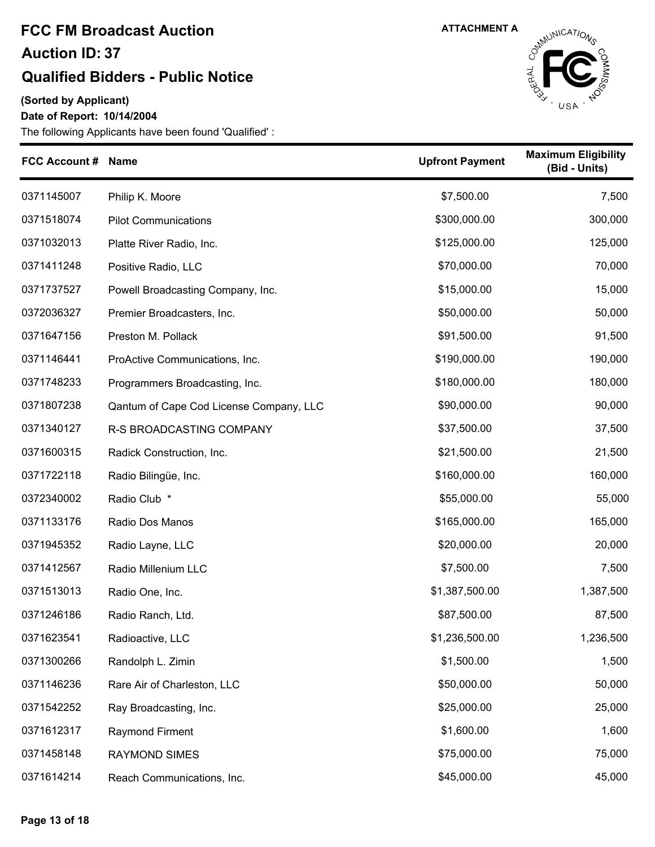### **Qualified Bidders - Public Notice**

**(Sorted by Applicant)**

**Date of Report: 10/14/2004**



| <b>FCC Account #</b> | <b>Name</b>                             | <b>Upfront Payment</b> | <b>Maximum Eligibility</b><br>(Bid - Units) |
|----------------------|-----------------------------------------|------------------------|---------------------------------------------|
| 0371145007           | Philip K. Moore                         | \$7,500.00             | 7,500                                       |
| 0371518074           | <b>Pilot Communications</b>             | \$300,000.00           | 300,000                                     |
| 0371032013           | Platte River Radio, Inc.                | \$125,000.00           | 125,000                                     |
| 0371411248           | Positive Radio, LLC                     | \$70,000.00            | 70,000                                      |
| 0371737527           | Powell Broadcasting Company, Inc.       | \$15,000.00            | 15,000                                      |
| 0372036327           | Premier Broadcasters, Inc.              | \$50,000.00            | 50,000                                      |
| 0371647156           | Preston M. Pollack                      | \$91,500.00            | 91,500                                      |
| 0371146441           | ProActive Communications, Inc.          | \$190,000.00           | 190,000                                     |
| 0371748233           | Programmers Broadcasting, Inc.          | \$180,000.00           | 180,000                                     |
| 0371807238           | Qantum of Cape Cod License Company, LLC | \$90,000.00            | 90,000                                      |
| 0371340127           | R-S BROADCASTING COMPANY                | \$37,500.00            | 37,500                                      |
| 0371600315           | Radick Construction, Inc.               | \$21,500.00            | 21,500                                      |
| 0371722118           | Radio Bilingüe, Inc.                    | \$160,000.00           | 160,000                                     |
| 0372340002           | Radio Club *                            | \$55,000.00            | 55,000                                      |
| 0371133176           | Radio Dos Manos                         | \$165,000.00           | 165,000                                     |
| 0371945352           | Radio Layne, LLC                        | \$20,000.00            | 20,000                                      |
| 0371412567           | Radio Millenium LLC                     | \$7,500.00             | 7,500                                       |
| 0371513013           | Radio One, Inc.                         | \$1,387,500.00         | 1,387,500                                   |
| 0371246186           | Radio Ranch, Ltd.                       | \$87,500.00            | 87,500                                      |
| 0371623541           | Radioactive, LLC                        | \$1,236,500.00         | 1,236,500                                   |
| 0371300266           | Randolph L. Zimin                       | \$1,500.00             | 1,500                                       |
| 0371146236           | Rare Air of Charleston, LLC             | \$50,000.00            | 50,000                                      |
| 0371542252           | Ray Broadcasting, Inc.                  | \$25,000.00            | 25,000                                      |
| 0371612317           | Raymond Firment                         | \$1,600.00             | 1,600                                       |
| 0371458148           | <b>RAYMOND SIMES</b>                    | \$75,000.00            | 75,000                                      |
| 0371614214           | Reach Communications, Inc.              | \$45,000.00            | 45,000                                      |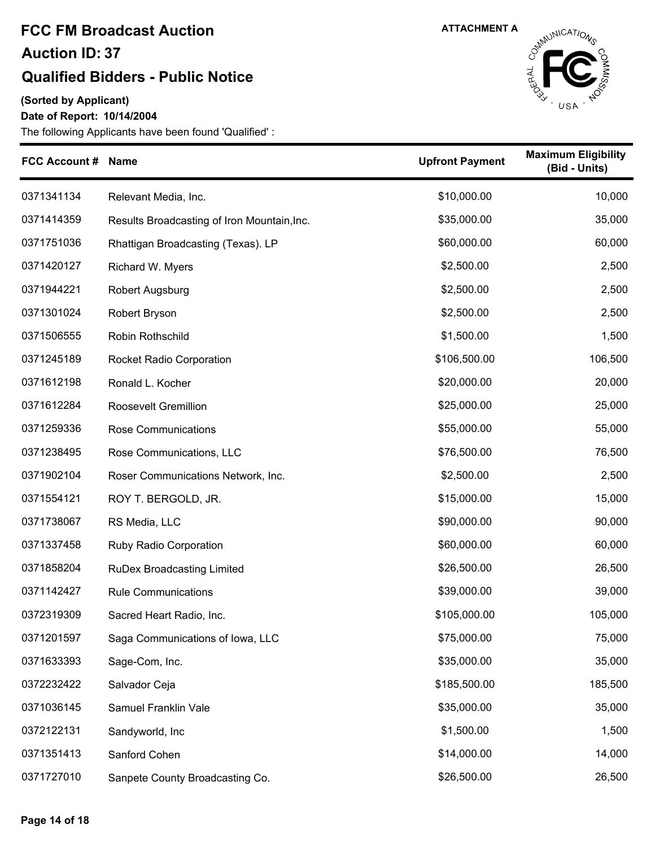#### **Qualified Bidders - Public Notice**

**(Sorted by Applicant)**

**Date of Report: 10/14/2004**



| <b>FCC Account # Name</b> |                                             | <b>Upfront Payment</b> | <b>Maximum Eligibility</b><br>(Bid - Units) |
|---------------------------|---------------------------------------------|------------------------|---------------------------------------------|
| 0371341134                | Relevant Media, Inc.                        | \$10,000.00            | 10,000                                      |
| 0371414359                | Results Broadcasting of Iron Mountain, Inc. | \$35,000.00            | 35,000                                      |
| 0371751036                | Rhattigan Broadcasting (Texas). LP          | \$60,000.00            | 60,000                                      |
| 0371420127                | Richard W. Myers                            | \$2,500.00             | 2,500                                       |
| 0371944221                | Robert Augsburg                             | \$2,500.00             | 2,500                                       |
| 0371301024                | Robert Bryson                               | \$2,500.00             | 2,500                                       |
| 0371506555                | Robin Rothschild                            | \$1,500.00             | 1,500                                       |
| 0371245189                | <b>Rocket Radio Corporation</b>             | \$106,500.00           | 106,500                                     |
| 0371612198                | Ronald L. Kocher                            | \$20,000.00            | 20,000                                      |
| 0371612284                | Roosevelt Gremillion                        | \$25,000.00            | 25,000                                      |
| 0371259336                | Rose Communications                         | \$55,000.00            | 55,000                                      |
| 0371238495                | Rose Communications, LLC                    | \$76,500.00            | 76,500                                      |
| 0371902104                | Roser Communications Network, Inc.          | \$2,500.00             | 2,500                                       |
| 0371554121                | ROY T. BERGOLD, JR.                         | \$15,000.00            | 15,000                                      |
| 0371738067                | RS Media, LLC                               | \$90,000.00            | 90,000                                      |
| 0371337458                | Ruby Radio Corporation                      | \$60,000.00            | 60,000                                      |
| 0371858204                | <b>RuDex Broadcasting Limited</b>           | \$26,500.00            | 26,500                                      |
| 0371142427                | <b>Rule Communications</b>                  | \$39,000.00            | 39,000                                      |
| 0372319309                | Sacred Heart Radio, Inc.                    | \$105,000.00           | 105,000                                     |
| 0371201597                | Saga Communications of Iowa, LLC            | \$75,000.00            | 75,000                                      |
| 0371633393                | Sage-Com, Inc.                              | \$35,000.00            | 35,000                                      |
| 0372232422                | Salvador Ceja                               | \$185,500.00           | 185,500                                     |
| 0371036145                | Samuel Franklin Vale                        | \$35,000.00            | 35,000                                      |
| 0372122131                | Sandyworld, Inc                             | \$1,500.00             | 1,500                                       |
| 0371351413                | Sanford Cohen                               | \$14,000.00            | 14,000                                      |
| 0371727010                | Sanpete County Broadcasting Co.             | \$26,500.00            | 26,500                                      |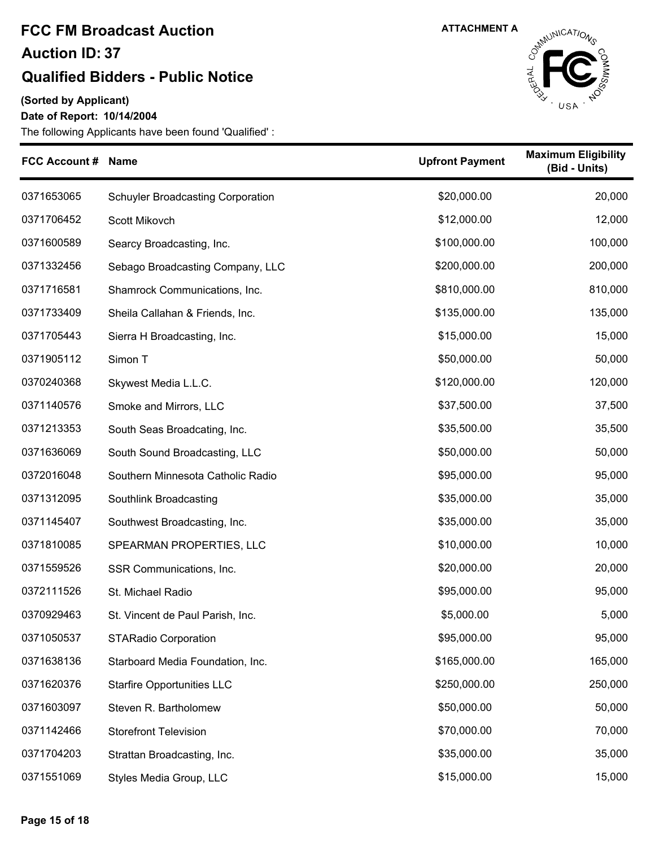### **Qualified Bidders - Public Notice**

**(Sorted by Applicant)**

#### **Date of Report: 10/14/2004**



| FCC Account # Name |                                          | <b>Upfront Payment</b> | <b>Maximum Eligibility</b><br>(Bid - Units) |
|--------------------|------------------------------------------|------------------------|---------------------------------------------|
| 0371653065         | <b>Schuyler Broadcasting Corporation</b> | \$20,000.00            | 20,000                                      |
| 0371706452         | Scott Mikovch                            | \$12,000.00            | 12,000                                      |
| 0371600589         | Searcy Broadcasting, Inc.                | \$100,000.00           | 100,000                                     |
| 0371332456         | Sebago Broadcasting Company, LLC         | \$200,000.00           | 200,000                                     |
| 0371716581         | Shamrock Communications, Inc.            | \$810,000.00           | 810,000                                     |
| 0371733409         | Sheila Callahan & Friends, Inc.          | \$135,000.00           | 135,000                                     |
| 0371705443         | Sierra H Broadcasting, Inc.              | \$15,000.00            | 15,000                                      |
| 0371905112         | Simon T                                  | \$50,000.00            | 50,000                                      |
| 0370240368         | Skywest Media L.L.C.                     | \$120,000.00           | 120,000                                     |
| 0371140576         | Smoke and Mirrors, LLC                   | \$37,500.00            | 37,500                                      |
| 0371213353         | South Seas Broadcating, Inc.             | \$35,500.00            | 35,500                                      |
| 0371636069         | South Sound Broadcasting, LLC            | \$50,000.00            | 50,000                                      |
| 0372016048         | Southern Minnesota Catholic Radio        | \$95,000.00            | 95,000                                      |
| 0371312095         | Southlink Broadcasting                   | \$35,000.00            | 35,000                                      |
| 0371145407         | Southwest Broadcasting, Inc.             | \$35,000.00            | 35,000                                      |
| 0371810085         | SPEARMAN PROPERTIES, LLC                 | \$10,000.00            | 10,000                                      |
| 0371559526         | SSR Communications, Inc.                 | \$20,000.00            | 20,000                                      |
| 0372111526         | St. Michael Radio                        | \$95,000.00            | 95,000                                      |
| 0370929463         | St. Vincent de Paul Parish, Inc.         | \$5,000.00             | 5,000                                       |
| 0371050537         | <b>STARadio Corporation</b>              | \$95,000.00            | 95,000                                      |
| 0371638136         | Starboard Media Foundation, Inc.         | \$165,000.00           | 165,000                                     |
| 0371620376         | <b>Starfire Opportunities LLC</b>        | \$250,000.00           | 250,000                                     |
| 0371603097         | Steven R. Bartholomew                    | \$50,000.00            | 50,000                                      |
| 0371142466         | <b>Storefront Television</b>             | \$70,000.00            | 70,000                                      |
| 0371704203         | Strattan Broadcasting, Inc.              | \$35,000.00            | 35,000                                      |
| 0371551069         | Styles Media Group, LLC                  | \$15,000.00            | 15,000                                      |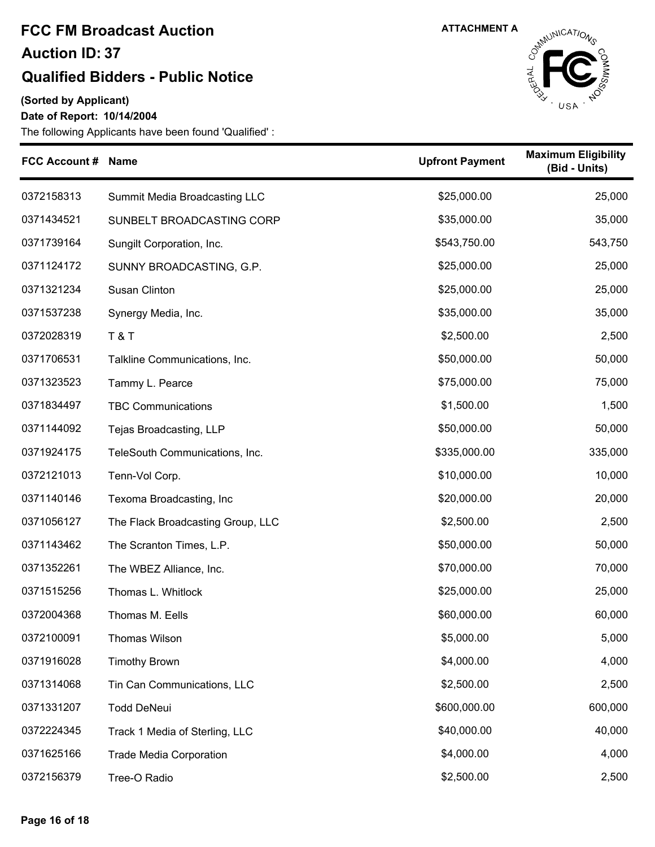### **Qualified Bidders - Public Notice**

**(Sorted by Applicant)**

**Date of Report: 10/14/2004**



| <b>FCC Account #</b> | <b>Name</b>                       | <b>Upfront Payment</b> | <b>Maximum Eligibility</b><br>(Bid - Units) |
|----------------------|-----------------------------------|------------------------|---------------------------------------------|
| 0372158313           | Summit Media Broadcasting LLC     | \$25,000.00            | 25,000                                      |
| 0371434521           | SUNBELT BROADCASTING CORP         | \$35,000.00            | 35,000                                      |
| 0371739164           | Sungilt Corporation, Inc.         | \$543,750.00           | 543,750                                     |
| 0371124172           | SUNNY BROADCASTING, G.P.          | \$25,000.00            | 25,000                                      |
| 0371321234           | Susan Clinton                     | \$25,000.00            | 25,000                                      |
| 0371537238           | Synergy Media, Inc.               | \$35,000.00            | 35,000                                      |
| 0372028319           | <b>T&amp;T</b>                    | \$2,500.00             | 2,500                                       |
| 0371706531           | Talkline Communications, Inc.     | \$50,000.00            | 50,000                                      |
| 0371323523           | Tammy L. Pearce                   | \$75,000.00            | 75,000                                      |
| 0371834497           | <b>TBC Communications</b>         | \$1,500.00             | 1,500                                       |
| 0371144092           | Tejas Broadcasting, LLP           | \$50,000.00            | 50,000                                      |
| 0371924175           | TeleSouth Communications, Inc.    | \$335,000.00           | 335,000                                     |
| 0372121013           | Tenn-Vol Corp.                    | \$10,000.00            | 10,000                                      |
| 0371140146           | Texoma Broadcasting, Inc          | \$20,000.00            | 20,000                                      |
| 0371056127           | The Flack Broadcasting Group, LLC | \$2,500.00             | 2,500                                       |
| 0371143462           | The Scranton Times, L.P.          | \$50,000.00            | 50,000                                      |
| 0371352261           | The WBEZ Alliance, Inc.           | \$70,000.00            | 70,000                                      |
| 0371515256           | Thomas L. Whitlock                | \$25,000.00            | 25,000                                      |
| 0372004368           | Thomas M. Eells                   | \$60,000.00            | 60,000                                      |
| 0372100091           | <b>Thomas Wilson</b>              | \$5,000.00             | 5,000                                       |
| 0371916028           | <b>Timothy Brown</b>              | \$4,000.00             | 4,000                                       |
| 0371314068           | Tin Can Communications, LLC       | \$2,500.00             | 2,500                                       |
| 0371331207           | <b>Todd DeNeui</b>                | \$600,000.00           | 600,000                                     |
| 0372224345           | Track 1 Media of Sterling, LLC    | \$40,000.00            | 40,000                                      |
| 0371625166           | <b>Trade Media Corporation</b>    | \$4,000.00             | 4,000                                       |
| 0372156379           | Tree-O Radio                      | \$2,500.00             | 2,500                                       |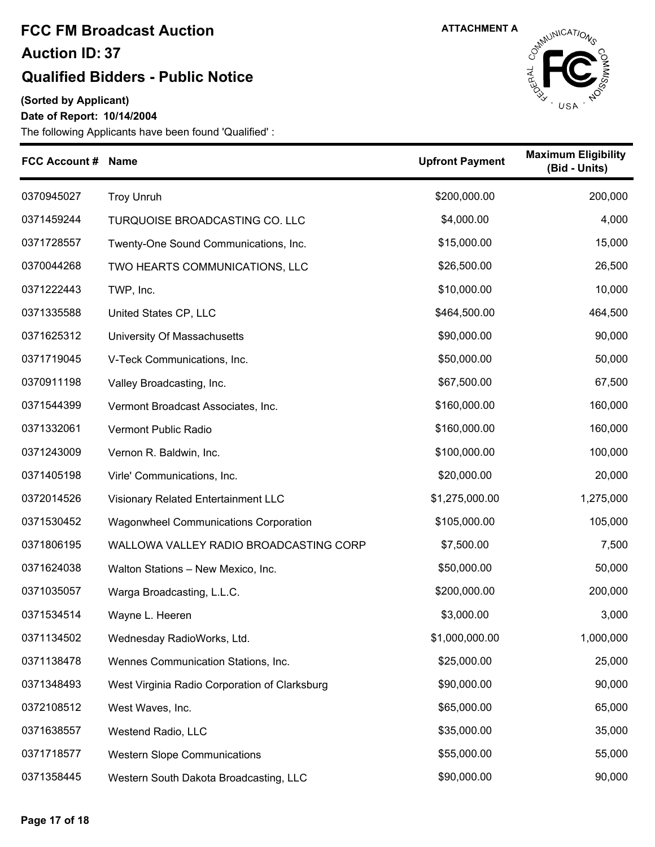### **Qualified Bidders - Public Notice**

**(Sorted by Applicant)**

**Date of Report: 10/14/2004**



| FCC Account # Name |                                               | <b>Upfront Payment</b> | <b>Maximum Eligibility</b><br>(Bid - Units) |
|--------------------|-----------------------------------------------|------------------------|---------------------------------------------|
| 0370945027         | <b>Troy Unruh</b>                             | \$200,000.00           | 200,000                                     |
| 0371459244         | TURQUOISE BROADCASTING CO. LLC                | \$4,000.00             | 4,000                                       |
| 0371728557         | Twenty-One Sound Communications, Inc.         | \$15,000.00            | 15,000                                      |
| 0370044268         | TWO HEARTS COMMUNICATIONS, LLC                | \$26,500.00            | 26,500                                      |
| 0371222443         | TWP, Inc.                                     | \$10,000.00            | 10,000                                      |
| 0371335588         | United States CP, LLC                         | \$464,500.00           | 464,500                                     |
| 0371625312         | University Of Massachusetts                   | \$90,000.00            | 90,000                                      |
| 0371719045         | V-Teck Communications, Inc.                   | \$50,000.00            | 50,000                                      |
| 0370911198         | Valley Broadcasting, Inc.                     | \$67,500.00            | 67,500                                      |
| 0371544399         | Vermont Broadcast Associates, Inc.            | \$160,000.00           | 160,000                                     |
| 0371332061         | Vermont Public Radio                          | \$160,000.00           | 160,000                                     |
| 0371243009         | Vernon R. Baldwin, Inc.                       | \$100,000.00           | 100,000                                     |
| 0371405198         | Virle' Communications, Inc.                   | \$20,000.00            | 20,000                                      |
| 0372014526         | Visionary Related Entertainment LLC           | \$1,275,000.00         | 1,275,000                                   |
| 0371530452         | <b>Wagonwheel Communications Corporation</b>  | \$105,000.00           | 105,000                                     |
| 0371806195         | WALLOWA VALLEY RADIO BROADCASTING CORP        | \$7,500.00             | 7,500                                       |
| 0371624038         | Walton Stations - New Mexico, Inc.            | \$50,000.00            | 50,000                                      |
| 0371035057         | Warga Broadcasting, L.L.C.                    | \$200,000.00           | 200,000                                     |
| 0371534514         | Wayne L. Heeren                               | \$3,000.00             | 3,000                                       |
| 0371134502         | Wednesday RadioWorks, Ltd.                    | \$1,000,000.00         | 1,000,000                                   |
| 0371138478         | Wennes Communication Stations, Inc.           | \$25,000.00            | 25,000                                      |
| 0371348493         | West Virginia Radio Corporation of Clarksburg | \$90,000.00            | 90,000                                      |
| 0372108512         | West Waves, Inc.                              | \$65,000.00            | 65,000                                      |
| 0371638557         | Westend Radio, LLC                            | \$35,000.00            | 35,000                                      |
| 0371718577         | <b>Western Slope Communications</b>           | \$55,000.00            | 55,000                                      |
| 0371358445         | Western South Dakota Broadcasting, LLC        | \$90,000.00            | 90,000                                      |